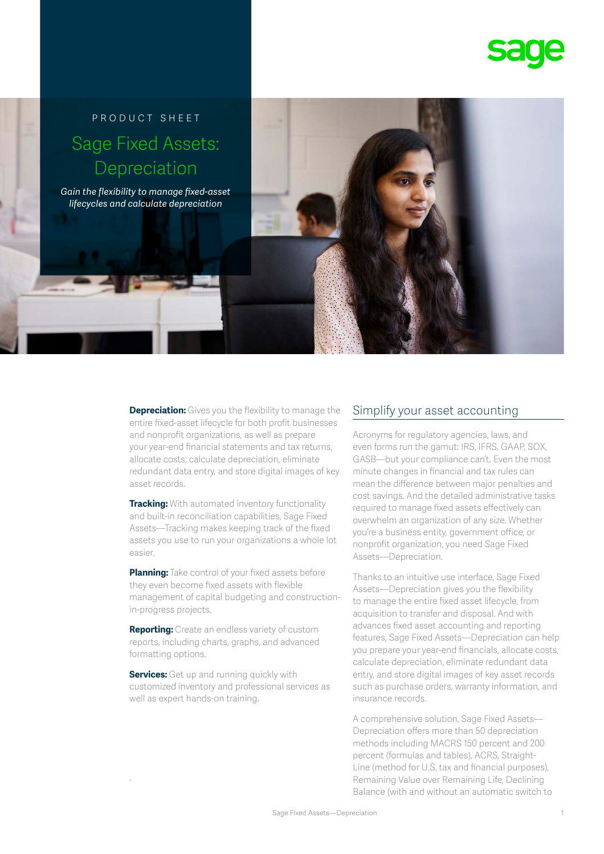# PRODUCT SHEET Sage Fixed Assets: Depreciation

*Gain the flexibility to manage fixed-asset lifecycles and calculate depreciation*

> **Depreciation:** Gives you the flexibility to manage the entire fixed-asset lifecycle for both profit businesses and nonprofit organizations, as well as prepare your year-end financial statements and tax returns, allocate costs, calculate depreciation, eliminate redundant data entry, and store digital images of key asset records.

**Tracking:** With automated inventory functionality and built-in reconciliation capabilities, Sage Fixed Assets—Tracking makes keeping track of the fixed assets you use to run your organizations a whole lot easier.

**Planning:** Take control of your fixed assets before they even become fixed assets with flexible management of capital budgeting and constructionin-progress projects.

**Reporting:** Create an endless variety of custom reports, including charts, graphs, and advanced formatting options.

**Services:** Get up and running quickly with customized inventory and professional services as well as expert hands-on training.

.

# Simplify your asset accounting

Acronyms for regulatory agencies, laws, and even forms run the gamut: IRS, IFRS, GAAP, SOX, GASB—but your compliance can't. Even the most minute changes in financial and tax rules can mean the difference between major penalties and cost savings. And the detailed administrative tasks required to manage fixed assets effectively can overwhelm an organization of any size. Whether you're a business entity, government office, or nonprofit organization, you need Sage Fixed Assets—Depreciation.

Thanks to an intuitive use interface, Sage Fixed Assets—Depreciation gives you the flexibility to manage the entire fixed asset lifecycle, from acquisition to transfer and disposal. And with advances fixed asset accounting and reporting features, Sage Fixed Assets—Depreciation can help you prepare your year-end financials, allocate costs, calculate depreciation, eliminate redundant data entry, and store digital images of key asset records such as purchase orders, warranty information, and insurance records.

A comprehensive solution, Sage Fixed Assets— Depreciation offers more than 50 depreciation methods including MACRS 150 percent and 200 percent (formulas and tables), ACRS, Straight-Line (method for U.S. tax and financial purposes), Remaining Value over Remaining Life, Declining Balance (with and without an automatic switch to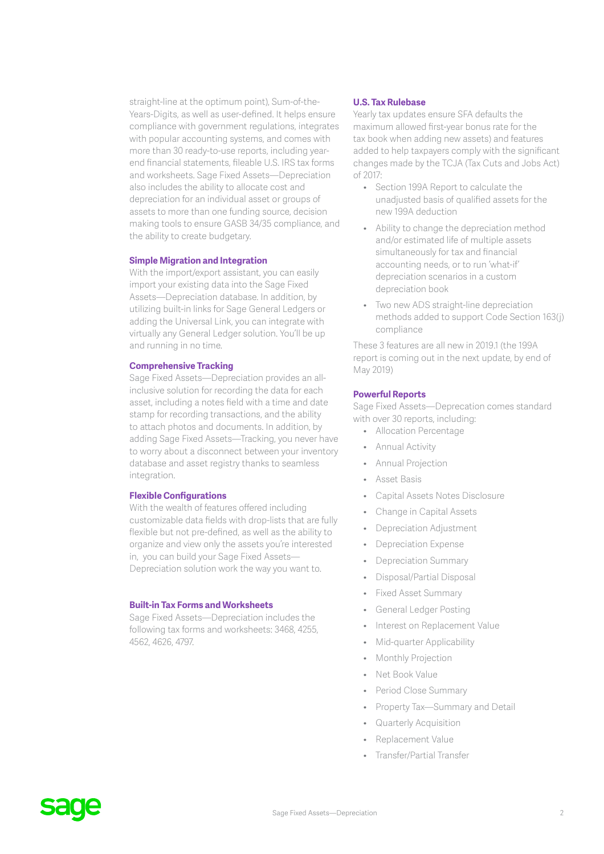straight-line at the optimum point), Sum-of-the-Years-Digits, as well as user-defined. It helps ensure compliance with government regulations, integrates with popular accounting systems, and comes with more than 30 ready-to-use reports, including yearend financial statements, fileable U.S. IRS tax forms and worksheets. Sage Fixed Assets—Depreciation also includes the ability to allocate cost and depreciation for an individual asset or groups of assets to more than one funding source, decision making tools to ensure GASB 34/35 compliance, and the ability to create budgetary.

#### **Simple Migration and Integration**

With the import/export assistant, you can easily import your existing data into the Sage Fixed Assets—Depreciation database. In addition, by utilizing built-in links for Sage General Ledgers or adding the Universal Link, you can integrate with virtually any General Ledger solution. You'll be up and running in no time.

### **Comprehensive Tracking**

Sage Fixed Assets—Depreciation provides an allinclusive solution for recording the data for each asset, including a notes field with a time and date stamp for recording transactions, and the ability to attach photos and documents. In addition, by adding Sage Fixed Assets—Tracking, you never have to worry about a disconnect between your inventory database and asset registry thanks to seamless integration.

### **Flexible Configurations**

With the wealth of features offered including customizable data fields with drop-lists that are fully flexible but not pre-defined, as well as the ability to organize and view only the assets you're interested in, you can build your Sage Fixed Assets— Depreciation solution work the way you want to.

#### **Built-in Tax Forms and Worksheets**

Sage Fixed Assets—Depreciation includes the following tax forms and worksheets: 3468, 4255, 4562, 4626, 4797.

#### **U.S. Tax Rulebase**

Yearly tax updates ensure SFA defaults the maximum allowed first-year bonus rate for the tax book when adding new assets) and features added to help taxpayers comply with the significant changes made by the TCJA (Tax Cuts and Jobs Act) of 2017:

- Section 199A Report to calculate the unadjusted basis of qualified assets for the new 199A deduction
- Ability to change the depreciation method and/or estimated life of multiple assets simultaneously for tax and financial accounting needs, or to run 'what-if' depreciation scenarios in a custom depreciation book
- Two new ADS straight-line depreciation methods added to support Code Section 163(j) compliance

These 3 features are all new in 2019.1 (the 199A report is coming out in the next update, by end of May 2019)

#### **Powerful Reports**

Sage Fixed Assets—Deprecation comes standard with over 30 reports, including:

- Allocation Percentage
- Annual Activity
- Annual Projection
- Asset Basis
- Capital Assets Notes Disclosure
- Change in Capital Assets
- Depreciation Adjustment
- Depreciation Expense
- Depreciation Summary
- Disposal/Partial Disposal
- Fixed Asset Summary
- General Ledger Posting
- Interest on Replacement Value
- Mid-quarter Applicability
- Monthly Projection
- Net Book Value
- Period Close Summary
- Property Tax—Summary and Detail
- Quarterly Acquisition
- Replacement Value
- Transfer/Partial Transfer